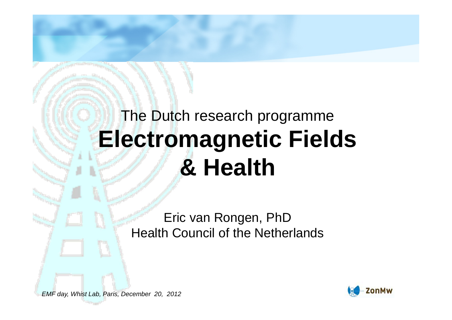#### The Dutch research programme **Electromagnetic Fields & Health**

Eric van Rongen, PhDHealth Council of the Netherlands

EMF day, Whist Lab, Paris, December 20, 2012

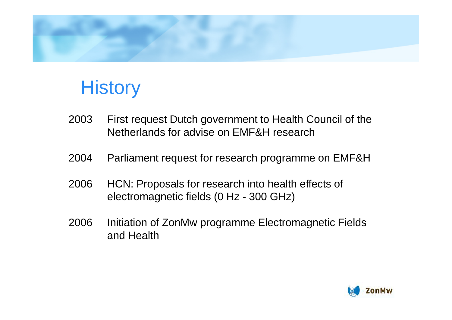

#### **History**

- 2003 First request Dutch government to Health Council of the Netherlands for advise on EMF&H research
- 2004 Parliament request for research programme on EMF&H
- 2006 HCN: Proposals for research into health effects of electromagnetic fields (0 Hz - 300 GHz)
- 2006 Initiation of ZonMw programme Electromagnetic Fieldsand Health

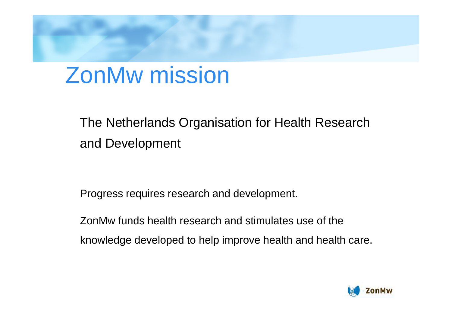#### ZonMw mission

#### The Netherlands Organisation for Health Research and Development

Progress requires research and development.

ZonMw funds health research and stimulates use of the knowledge developed to help improve health and health care.

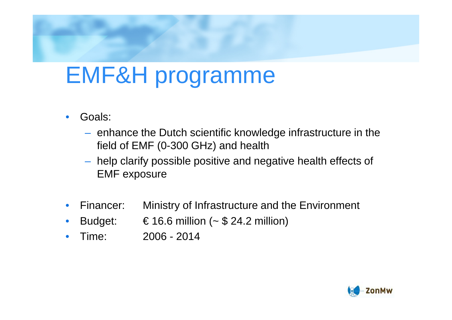### EMF&H programme

- • Goals:
	- enhance the Dutch scientific knowledge infrastructure in the field of EMF (0-300 GHz) and health
	- – help clarify possible positive and negative health effects of EMF exposure
- •Financer: Ministry of Infrastructure and the Environment
- •Budget:  $\epsilon$  16.6 million (~ \$ 24.2 million)
- •Time: 2006 - <sup>2014</sup>

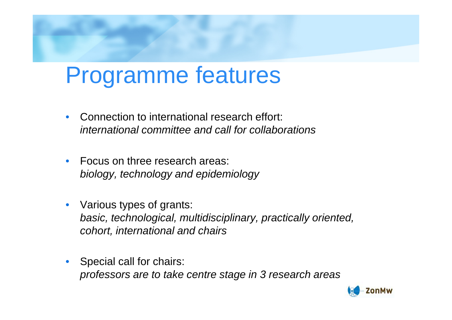### Programme features

- • Connection to international research effort: international committee and call for collaborations
- • Focus on three research areas: biology, technology and epidemiology
- • Various types of grants: basic, technological, multidisciplinary, practically oriented, cohort, international and chairs
- Special call for chairs: professors are to take centre stage in 3 research areas

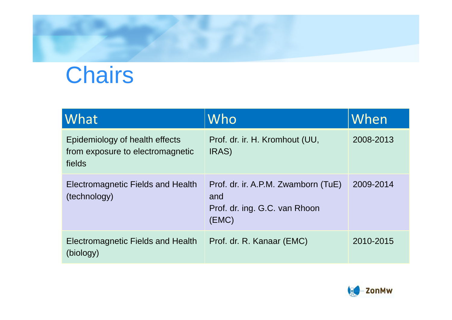# **Chairs**

| <b>What</b>                                                                  | Who                                                                                  | When      |
|------------------------------------------------------------------------------|--------------------------------------------------------------------------------------|-----------|
| Epidemiology of health effects<br>from exposure to electromagnetic<br>fields | Prof. dr. ir. H. Kromhout (UU,<br>IRAS)                                              | 2008-2013 |
| Electromagnetic Fields and Health<br>(technology)                            | Prof. dr. ir. A.P.M. Zwamborn (TuE)<br>and<br>Prof. dr. ing. G.C. van Rhoon<br>(EMC) | 2009-2014 |
| Electromagnetic Fields and Health<br>(biology)                               | Prof. dr. R. Kanaar (EMC)                                                            | 2010-2015 |

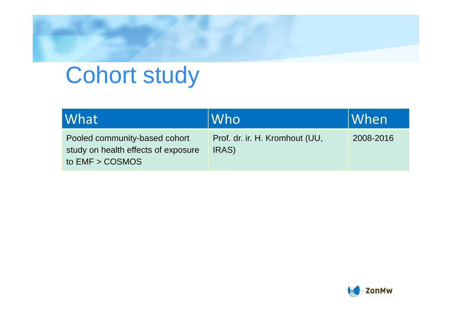### Cohort study

| What                                                                                      | Who                                     | When      |
|-------------------------------------------------------------------------------------------|-----------------------------------------|-----------|
| Pooled community-based cohort<br>study on health effects of exposure<br>to $EMF > COSMOS$ | Prof. dr. ir. H. Kromhout (UU,<br>IRAS) | 2008-2016 |

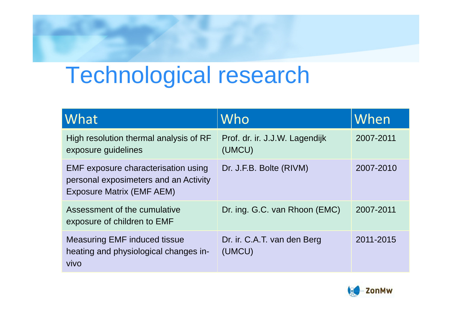### Technological research

| What                                                                                                      | Who                                      | When      |
|-----------------------------------------------------------------------------------------------------------|------------------------------------------|-----------|
| High resolution thermal analysis of RF<br>exposure guidelines                                             | Prof. dr. ir. J.J.W. Lagendijk<br>(UMCU) | 2007-2011 |
| EMF exposure characterisation using<br>personal exposimeters and an Activity<br>Exposure Matrix (EMF AEM) | Dr. J.F.B. Bolte (RIVM)                  | 2007-2010 |
| Assessment of the cumulative<br>exposure of children to EMF                                               | Dr. ing. G.C. van Rhoon (EMC)            | 2007-2011 |
| <b>Measuring EMF induced tissue</b><br>heating and physiological changes in-<br>vivo                      | Dr. ir. C.A.T. van den Berg<br>(UMCU)    | 2011-2015 |

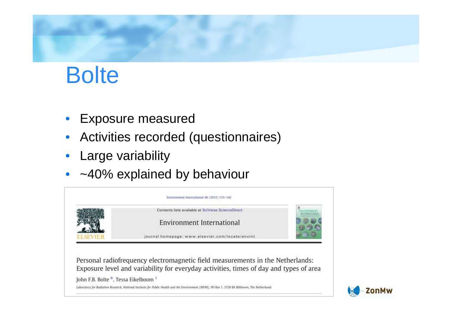

#### **Bolte**

- •Exposure measured
- $\bullet$ Activities recorded (questionnaires)
- •Large variability
- ~40% explained by behaviour



Personal radiofrequency electromagnetic field measurements in the Netherlands: Exposure level and variability for everyday activities, times of day and types of area

John F.B. Bolte \*, Tessa Eikelboom 1

Laboratory for Radiation Research, National Institute for Public Health and the Environment (RIVM), PO Box 1, 3720 BA Bilthoven, The Netherlands

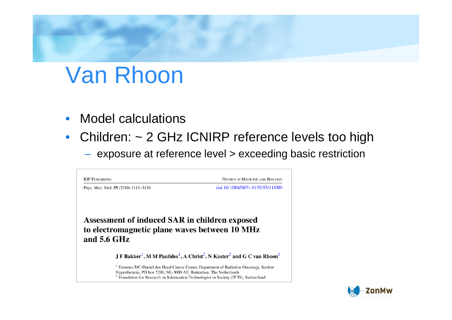# Van Rhoon

- $\bullet$ Model calculations
- Children: ~ 2 GHz ICNIRP reference levels too high
	- $-$  exposure at reference level  $>$  exceeding basic restriction



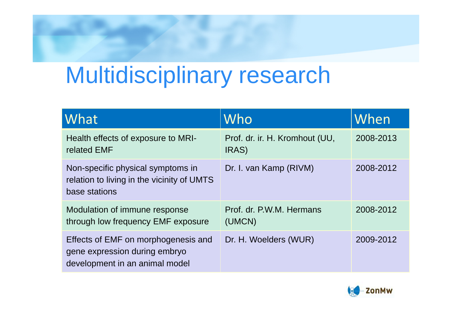## Multidisciplinary research

| What                                                                                                   | Who                                             | When      |
|--------------------------------------------------------------------------------------------------------|-------------------------------------------------|-----------|
| Health effects of exposure to MRI-<br>related EMF                                                      | Prof. dr. ir. H. Kromhout (UU,<br><b>IRAS</b> ) | 2008-2013 |
| Non-specific physical symptoms in<br>relation to living in the vicinity of UMTS<br>base stations       | Dr. I. van Kamp (RIVM)                          | 2008-2012 |
| Modulation of immune response<br>through low frequency EMF exposure                                    | Prof. dr. P.W.M. Hermans<br>(UMCN)              | 2008-2012 |
| Effects of EMF on morphogenesis and<br>gene expression during embryo<br>development in an animal model | Dr. H. Woelders (WUR)                           | 2009-2012 |

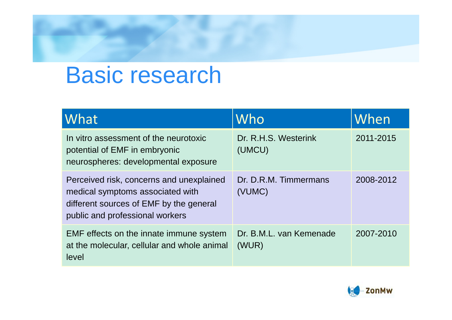#### Basic research

| What                                                                                                                                                       | Who                              | When      |
|------------------------------------------------------------------------------------------------------------------------------------------------------------|----------------------------------|-----------|
| In vitro assessment of the neurotoxic<br>potential of EMF in embryonic<br>neurospheres: developmental exposure                                             | Dr. R.H.S. Westerink<br>(UMCU)   | 2011-2015 |
| Perceived risk, concerns and unexplained<br>medical symptoms associated with<br>different sources of EMF by the general<br>public and professional workers | Dr. D.R.M. Timmermans<br>(VUMC)  | 2008-2012 |
| EMF effects on the innate immune system<br>at the molecular, cellular and whole animal<br>level                                                            | Dr. B.M.L. van Kemenade<br>(WUR) | 2007-2010 |

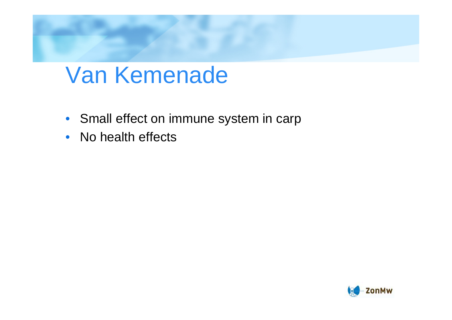#### Van Kemenade

- Small effect on immune system in carp
- $\bullet$ No health effects

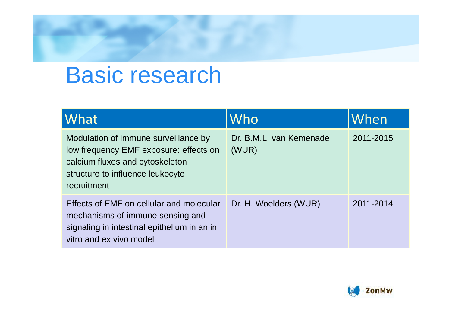#### Basic research

| What                                                                                                                                                                 | Who                              | When      |
|----------------------------------------------------------------------------------------------------------------------------------------------------------------------|----------------------------------|-----------|
| Modulation of immune surveillance by<br>low frequency EMF exposure: effects on<br>calcium fluxes and cytoskeleton<br>structure to influence leukocyte<br>recruitment | Dr. B.M.L. van Kemenade<br>(WUR) | 2011-2015 |
| Effects of EMF on cellular and molecular<br>mechanisms of immune sensing and<br>signaling in intestinal epithelium in an in<br>vitro and ex vivo model               | Dr. H. Woelders (WUR)            | 2011-2014 |

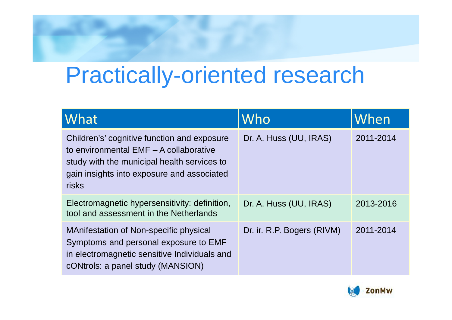### Practically-oriented research

| What                                                                                                                                                                                               | Who                        | When      |
|----------------------------------------------------------------------------------------------------------------------------------------------------------------------------------------------------|----------------------------|-----------|
| Children's' cognitive function and exposure<br>to environmental EMF - A collaborative<br>study with the municipal health services to<br>gain insights into exposure and associated<br><b>risks</b> | Dr. A. Huss (UU, IRAS)     | 2011-2014 |
| Electromagnetic hypersensitivity: definition,<br>tool and assessment in the Netherlands                                                                                                            | Dr. A. Huss (UU, IRAS)     | 2013-2016 |
| <b>MAnifestation of Non-specific physical</b><br>Symptoms and personal exposure to EMF<br>in electromagnetic sensitive Individuals and<br>cONtrols: a panel study (MANSION)                        | Dr. ir. R.P. Bogers (RIVM) | 2011-2014 |

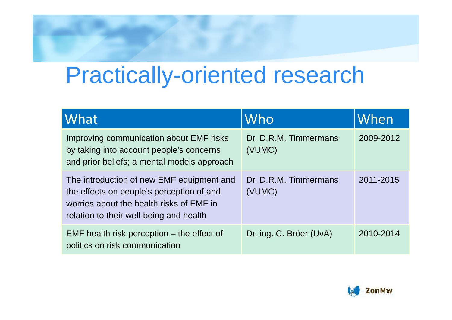### Practically-oriented research

| What                                                                                                                                                                          | Who                             | When      |
|-------------------------------------------------------------------------------------------------------------------------------------------------------------------------------|---------------------------------|-----------|
| Improving communication about EMF risks<br>by taking into account people's concerns<br>and prior beliefs; a mental models approach                                            | Dr. D.R.M. Timmermans<br>(VUMC) | 2009-2012 |
| The introduction of new EMF equipment and<br>the effects on people's perception of and<br>worries about the health risks of EMF in<br>relation to their well-being and health | Dr. D.R.M. Timmermans<br>(VUMC) | 2011-2015 |
| $EMF$ health risk perception $-$ the effect of<br>politics on risk communication                                                                                              | Dr. ing. C. Bröer (UvA)         | 2010-2014 |

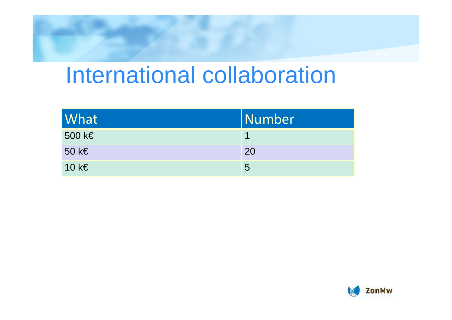#### International collaboration

| What            | <i><u><b>Number</b></u></i> |
|-----------------|-----------------------------|
| 500 k $\in$     |                             |
| 50 k $\epsilon$ | 20                          |
| 10 k $\epsilon$ | 5                           |

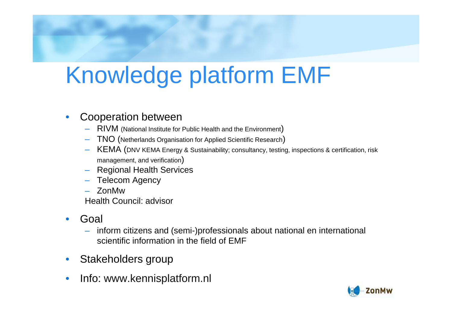# Knowledge platform EMF

#### •Cooperation between

- RIVM (National Institute for Public Health and the Environment)
- TNO (Netherlands Organisation for Applied Scientific Research)
- KEMA (DNV KEMA Energy & Sustainability; consultancy, testing, inspections & certification, risk management, and verification)
- Regional Health Services
- Telecom Agency
- ZonMw

Health Council: advisor

- • Goal
	- inform citizens and (semi-)professionals about national en international scientific information in the field of EMF
- •Stakeholders group
- •Info: www.kennisplatform.nl